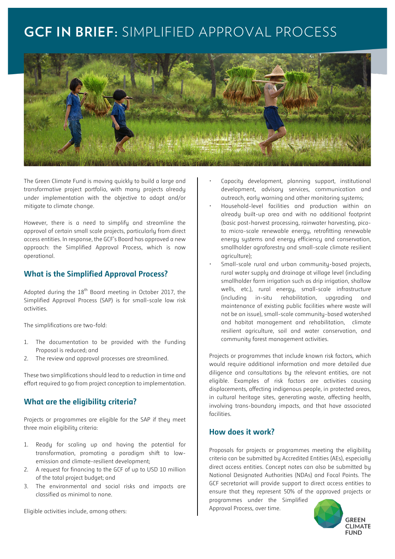# **GCF IN BRIEF:** SIMPLIFIED APPROVAL PROCESS



The Green Climate Fund is moving quickly to build a large and transformative project portfolio, with many projects already under implementation with the objective to adapt and/or mitigate to climate change.

However, there is a need to simplify and streamline the approval of certain small scale projects, particularly from direct access entities. In response, the GCF's Board has approved a new approach: the Simplified Approval Process, which is now operational.

## **What is the Simplified Approval Process?**

Adopted during the  $18<sup>th</sup>$  Board meeting in October 2017, the Simplified Approval Process (SAP) is for small-scale low risk activities.

The simplifications are two-fold:

- 1. The documentation to be provided with the Funding Proposal is reduced; and
- 2. The review and approval processes are streamlined.

These two simplifications should lead to a reduction in time and effort required to go from project conception to implementation.

## **What are the eligibility criteria?**

Projects or programmes are eligible for the SAP if they meet three main eligibility criteria:

- 1. Ready for scaling up and having the potential for transformation, promoting a paradigm shift to lowemission and climate-resilient development;
- 2. A request for financing to the GCF of up to USD 10 million of the total project budget; and
- 3. The environmental and social risks and impacts are classified as minimal to none.

Eligible activities include, among others:

- Capacity development, planning support, institutional development, advisory services, communication and outreach, early warning and other monitoring systems;
- Household-level facilities and production within an already built-up area and with no additional footprint (basic post-harvest processing, rainwater harvesting, picoto micro-scale renewable energy, retrofitting renewable energy systems and energy efficiency and conservation, smallholder agroforestry and small-scale climate resilient agriculture);
- Small-scale rural and urban community-based projects, rural water supply and drainage at village level (including smallholder farm irrigation such as drip irrigation, shallow wells, etc.), rural energy, small-scale infrastructure (including in-situ rehabilitation, upgrading and maintenance of existing public facilities where waste will not be an issue), small-scale community-based watershed and habitat management and rehabilitation, climate resilient agriculture, soil and water conservation, and community forest management activities.

Projects or programmes that include known risk factors, which would require additional information and more detailed due diligence and consultations by the relevant entities, are not eligible. Examples of risk factors are activities causing displacements, affecting indigenous people, in protected areas, in cultural heritage sites, generating waste, affecting health, involving trans-boundary impacts, and that have associated facilities.

## **How does it work?**

Proposals for projects or programmes meeting the eligibility criteria can be submitted by Accredited Entities (AEs), especially direct access entities. Concept notes can also be submitted by National Designated Authorities (NDAs) and Focal Points. The GCF secretariat will provide support to direct access entities to ensure that they represent 50% of the approved projects or programmes under the Simplified

Approval Process, over time.